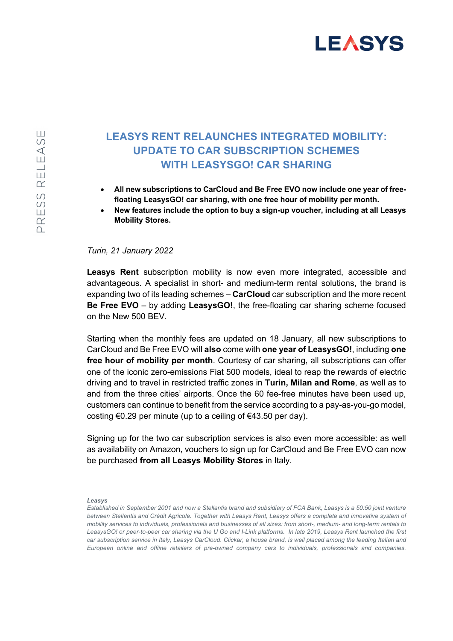## **LEASYS**

## **LEASYS RENT RELAUNCHES INTEGRATED MOBILITY: UPDATE TO CAR SUBSCRIPTION SCHEMES WITH LEASYSGO! CAR SHARING**

- **All new subscriptions to CarCloud and Be Free EVO now include one year of freefloating LeasysGO! car sharing, with one free hour of mobility per month.**
- **New features include the option to buy a sign-up voucher, including at all Leasys Mobility Stores.**

## *Turin, 21 January 2022*

**Leasys Rent** subscription mobility is now even more integrated, accessible and advantageous. A specialist in short- and medium-term rental solutions, the brand is expanding two of its leading schemes – **CarCloud** car subscription and the more recent **Be Free EVO** – by adding **LeasysGO!**, the free-floating car sharing scheme focused on the New 500 BEV.

Starting when the monthly fees are updated on 18 January, all new subscriptions to CarCloud and Be Free EVO will **also** come with **one year of LeasysGO!**, including **one free hour of mobility per month**. Courtesy of car sharing, all subscriptions can offer one of the iconic zero-emissions Fiat 500 models, ideal to reap the rewards of electric driving and to travel in restricted traffic zones in **Turin, Milan and Rome**, as well as to and from the three cities' airports. Once the 60 fee-free minutes have been used up, customers can continue to benefit from the service according to a pay-as-you-go model, costing  $\epsilon$ 0.29 per minute (up to a ceiling of  $\epsilon$ 43.50 per day).

Signing up for the two car subscription services is also even more accessible: as well as availability on Amazon, vouchers to sign up for CarCloud and Be Free EVO can now be purchased **from all Leasys Mobility Stores** in Italy.

## *Leasys*

*Established in September 2001 and now a Stellantis brand and subsidiary of FCA Bank, Leasys is a 50:50 joint venture between Stellantis and Crédit Agricole. Together with Leasys Rent, Leasys offers a complete and innovative system of mobility services to individuals, professionals and businesses of all sizes: from short-, medium- and long-term rentals to LeasysGO! or peer-to-peer car sharing via the U Go and I-Link platforms. In late 2019, Leasys Rent launched the first car subscription service in Italy, Leasys CarCloud. Clickar, a house brand, is well placed among the leading Italian and European online and offline retailers of pre-owned company cars to individuals, professionals and companies.*